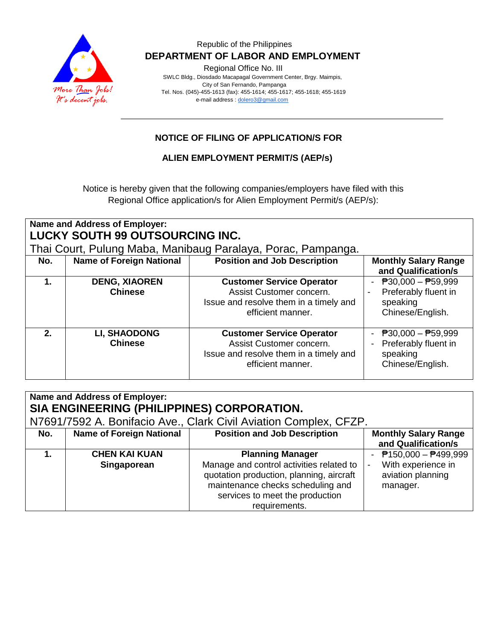

### Republic of the Philippines  **DEPARTMENT OF LABOR AND EMPLOYMENT**

Regional Office No. III

 SWLC Bldg., Diosdado Macapagal Government Center, Brgy. Maimpis, City of San Fernando, Pampanga Tel. Nos. (045)-455-1613 (fax): 455-1614; 455-1617; 455-1618; 455-1619 e-mail address [: dolero3@gmail.com](mailto:dolero3@gmail.com)

# **NOTICE OF FILING OF APPLICATION/S FOR**

### **ALIEN EMPLOYMENT PERMIT/S (AEP/s)**

Notice is hereby given that the following companies/employers have filed with this Regional Office application/s for Alien Employment Permit/s (AEP/s):

| Name and Address of Employer:<br><b>LUCKY SOUTH 99 OUTSOURCING INC.</b><br>Thai Court, Pulung Maba, Manibaug Paralaya, Porac, Pampanga. |                                        |                                                                                                                             |                                                                             |  |  |  |
|-----------------------------------------------------------------------------------------------------------------------------------------|----------------------------------------|-----------------------------------------------------------------------------------------------------------------------------|-----------------------------------------------------------------------------|--|--|--|
| No.                                                                                                                                     | <b>Name of Foreign National</b>        | <b>Position and Job Description</b>                                                                                         | <b>Monthly Salary Range</b><br>and Qualification/s                          |  |  |  |
| $\mathbf 1$ .                                                                                                                           | <b>DENG, XIAOREN</b><br><b>Chinese</b> | <b>Customer Service Operator</b><br>Assist Customer concern.<br>Issue and resolve them in a timely and<br>efficient manner. | $P30,000 - P59,999$<br>Preferably fluent in<br>speaking<br>Chinese/English. |  |  |  |
| 2 <sub>1</sub>                                                                                                                          | <b>LI, SHAODONG</b><br><b>Chinese</b>  | <b>Customer Service Operator</b><br>Assist Customer concern.<br>Issue and resolve them in a timely and<br>efficient manner. | $P30,000 - P59,999$<br>Preferably fluent in<br>speaking<br>Chinese/English. |  |  |  |

| Name and Address of Employer:<br>SIA ENGINEERING (PHILIPPINES) CORPORATION. |                                     |                                                                                                                                                                                                          |                                                                                                              |  |  |  |
|-----------------------------------------------------------------------------|-------------------------------------|----------------------------------------------------------------------------------------------------------------------------------------------------------------------------------------------------------|--------------------------------------------------------------------------------------------------------------|--|--|--|
| N7691/7592 A. Bonifacio Ave., Clark Civil Aviation Complex, CFZP.           |                                     |                                                                                                                                                                                                          |                                                                                                              |  |  |  |
| No.                                                                         | <b>Name of Foreign National</b>     | <b>Position and Job Description</b>                                                                                                                                                                      | <b>Monthly Salary Range</b><br>and Qualification/s                                                           |  |  |  |
|                                                                             | <b>CHEN KAI KUAN</b><br>Singaporean | <b>Planning Manager</b><br>Manage and control activities related to<br>quotation production, planning, aircraft<br>maintenance checks scheduling and<br>services to meet the production<br>requirements. | $P$ 150,000 - $P$ 499,999<br>With experience in<br>$\overline{\phantom{a}}$<br>aviation planning<br>manager. |  |  |  |